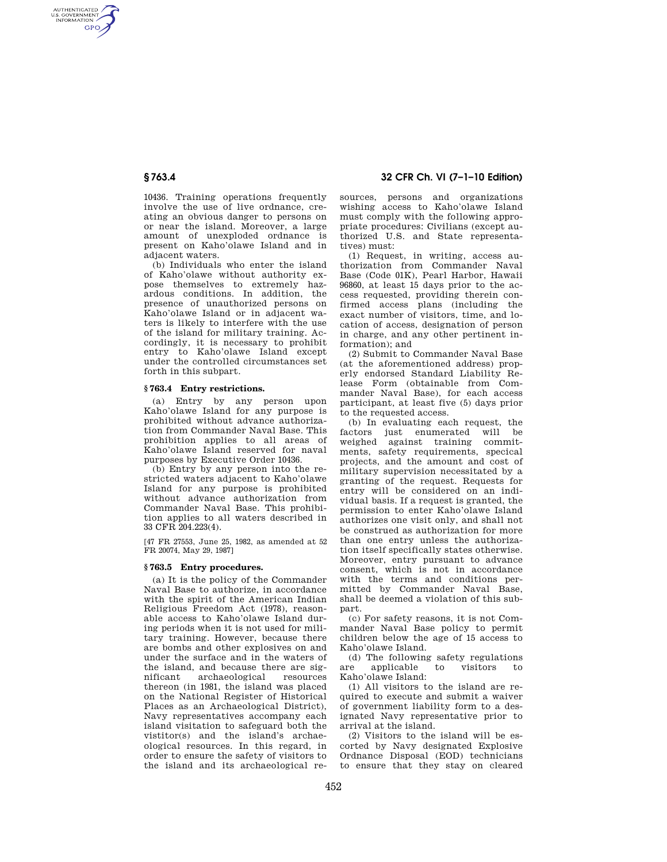AUTHENTICATED<br>U.S. GOVERNMENT<br>INFORMATION **GPO** 

> 10436. Training operations frequently involve the use of live ordnance, creating an obvious danger to persons on or near the island. Moreover, a large amount of unexploded ordnance is present on Kaho'olawe Island and in adjacent waters.

> (b) Individuals who enter the island of Kaho'olawe without authority expose themselves to extremely hazardous conditions. In addition, the presence of unauthorized persons on Kaho'olawe Island or in adjacent waters is likely to interfere with the use of the island for military training. Accordingly, it is necessary to prohibit entry to Kaho'olawe Island except under the controlled circumstances set forth in this subpart.

## **§ 763.4 Entry restrictions.**

(a) Entry by any person upon Kaho'olawe Island for any purpose is prohibited without advance authorization from Commander Naval Base. This prohibition applies to all areas of Kaho'olawe Island reserved for naval purposes by Executive Order 10436.

(b) Entry by any person into the restricted waters adjacent to Kaho'olawe Island for any purpose is prohibited without advance authorization from Commander Naval Base. This prohibition applies to all waters described in 33 CFR 204.223(4).

[47 FR 27553, June 25, 1982, as amended at 52 FR 20074, May 29, 1987]

## **§ 763.5 Entry procedures.**

(a) It is the policy of the Commander Naval Base to authorize, in accordance with the spirit of the American Indian Religious Freedom Act (1978), reasonable access to Kaho'olawe Island during periods when it is not used for military training. However, because there are bombs and other explosives on and under the surface and in the waters of the island, and because there are significant archaeological resources thereon (in 1981, the island was placed on the National Register of Historical Places as an Archaeological District), Navy representatives accompany each island visitation to safeguard both the vistitor(s) and the island's archaeological resources. In this regard, in order to ensure the safety of visitors to the island and its archaeological re-

# **§ 763.4 32 CFR Ch. VI (7–1–10 Edition)**

sources, persons and organizations wishing access to Kaho'olawe Island must comply with the following appropriate procedures: Civilians (except authorized U.S. and State representatives) must:

(1) Request, in writing, access authorization from Commander Naval Base (Code 01K), Pearl Harbor, Hawaii 96860, at least 15 days prior to the access requested, providing therein confirmed access plans (including the exact number of visitors, time, and location of access, designation of person in charge, and any other pertinent information); and

(2) Submit to Commander Naval Base (at the aforementioned address) properly endorsed Standard Liability Release Form (obtainable from Commander Naval Base), for each access participant, at least five (5) days prior to the requested access.

(b) In evaluating each request, the factors just enumerated will be weighed against training commitments, safety requirements, specical projects, and the amount and cost of military supervision necessitated by a granting of the request. Requests for entry will be considered on an individual basis. If a request is granted, the permission to enter Kaho'olawe Island authorizes one visit only, and shall not be construed as authorization for more than one entry unless the authorization itself specifically states otherwise. Moreover, entry pursuant to advance consent, which is not in accordance with the terms and conditions permitted by Commander Naval Base, shall be deemed a violation of this subpart.

(c) For safety reasons, it is not Commander Naval Base policy to permit children below the age of 15 access to Kaho'olawe Island.

(d) The following safety regulations are applicable to visitors to Kaho'olawe Island:

(1) All visitors to the island are required to execute and submit a waiver of government liability form to a designated Navy representative prior to arrival at the island.

(2) Visitors to the island will be escorted by Navy designated Explosive Ordnance Disposal (EOD) technicians to ensure that they stay on cleared